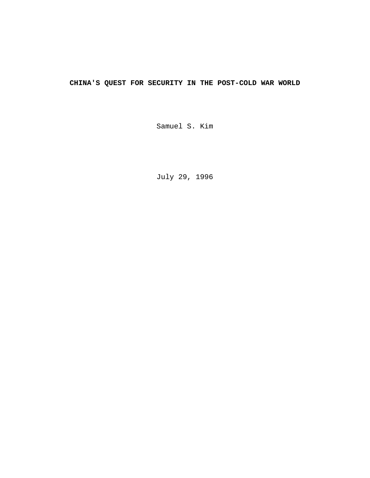# **CHINA'S QUEST FOR SECURITY IN THE POST-COLD WAR WORLD**

Samuel S. Kim

July 29, 1996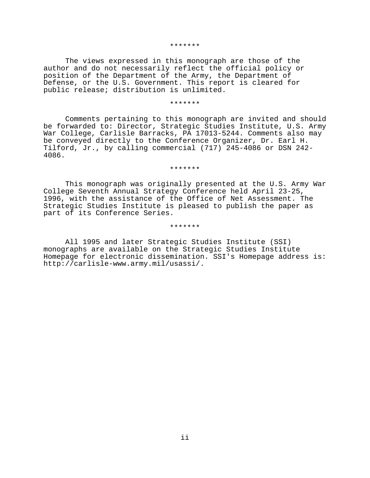#### \*\*\*\*\*\*\*

The views expressed in this monograph are those of the author and do not necessarily reflect the official policy or position of the Department of the Army, the Department of Defense, or the U.S. Government. This report is cleared for public release; distribution is unlimited.

#### \*\*\*\*\*\*\*

Comments pertaining to this monograph are invited and should be forwarded to: Director, Strategic Studies Institute, U.S. Army War College, Carlisle Barracks, PA 17013-5244. Comments also may be conveyed directly to the Conference Organizer, Dr. Earl H. Tilford, Jr., by calling commercial (717) 245-4086 or DSN 242- 4086.

#### \*\*\*\*\*\*\*

This monograph was originally presented at the U.S. Army War College Seventh Annual Strategy Conference held April 23-25, 1996, with the assistance of the Office of Net Assessment. The Strategic Studies Institute is pleased to publish the paper as part of its Conference Series.

#### \*\*\*\*\*\*\*

All 1995 and later Strategic Studies Institute (SSI) monographs are available on the Strategic Studies Institute Homepage for electronic dissemination. SSI's Homepage address is: http://carlisle-www.army.mil/usassi/.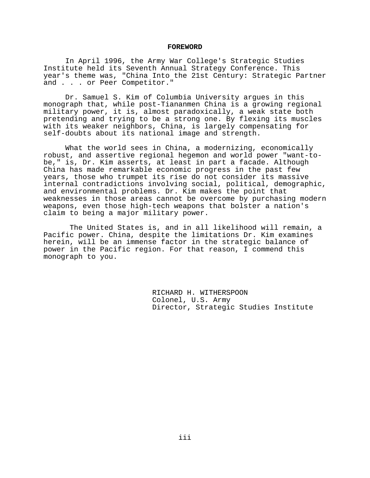### **FOREWORD**

In April 1996, the Army War College's Strategic Studies Institute held its Seventh Annual Strategy Conference. This year's theme was, "China Into the 21st Century: Strategic Partner and . . . or Peer Competitor."

Dr. Samuel S. Kim of Columbia University argues in this monograph that, while post-Tiananmen China is a growing regional military power, it is, almost paradoxically, a weak state both pretending and trying to be a strong one. By flexing its muscles with its weaker neighbors, China, is largely compensating for self-doubts about its national image and strength.

What the world sees in China, a modernizing, economically robust, and assertive regional hegemon and world power "want-tobe," is, Dr. Kim asserts, at least in part a facade. Although China has made remarkable economic progress in the past few years, those who trumpet its rise do not consider its massive internal contradictions involving social, political, demographic, and environmental problems. Dr. Kim makes the point that weaknesses in those areas cannot be overcome by purchasing modern weapons, even those high-tech weapons that bolster a nation's claim to being a major military power.

 The United States is, and in all likelihood will remain, a Pacific power. China, despite the limitations Dr. Kim examines herein, will be an immense factor in the strategic balance of power in the Pacific region. For that reason, I commend this monograph to you.

> RICHARD H. WITHERSPOON Colonel, U.S. Army Director, Strategic Studies Institute

> > iii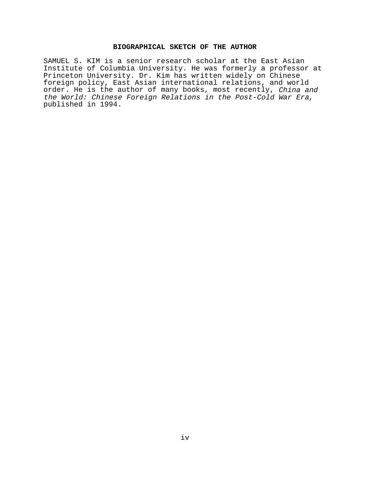# **BIOGRAPHICAL SKETCH OF THE AUTHOR**

SAMUEL S. KIM is a senior research scholar at the East Asian Institute of Columbia University. He was formerly a professor at Princeton University. Dr. Kim has written widely on Chinese foreign policy, East Asian international relations, and world order. He is the author of many books, most recently, China and the World: Chinese Foreign Relations in the Post-Cold War Era, published in 1994.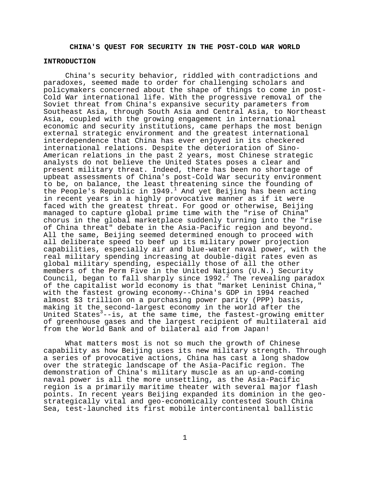# **CHINA'S QUEST FOR SECURITY IN THE POST-COLD WAR WORLD**

### **INTRODUCTION**

China's security behavior, riddled with contradictions and paradoxes, seemed made to order for challenging scholars and policymakers concerned about the shape of things to come in post-Cold War international life. With the progressive removal of the Soviet threat from China's expansive security parameters from Southeast Asia, through South Asia and Central Asia, to Northeast Asia, coupled with the growing engagement in international economic and security institutions, came perhaps the most benign external strategic environment and the greatest international interdependence that China has ever enjoyed in its checkered international relations. Despite the deterioration of Sino-American relations in the past 2 years, most Chinese strategic analysts do not believe the United States poses a clear and present military threat. Indeed, there has been no shortage of upbeat assessments of China's post-Cold War security environment to be, on balance, the least threatening since the founding of the People's Republic in 1949.<sup>1</sup> And yet Beijing has been acting in recent years in a highly provocative manner as if it were faced with the greatest threat. For good or otherwise, Beijing managed to capture global prime time with the "rise of China" chorus in the global marketplace suddenly turning into the "rise of China threat" debate in the Asia-Pacific region and beyond. All the same, Beijing seemed determined enough to proceed with all deliberate speed to beef up its military power projection capabilities, especially air and blue-water naval power, with the real military spending increasing at double-digit rates even as global military spending, especially those of all the other members of the Perm Five in the United Nations (U.N.) Security Council, began to fall sharply since  $1992.^2$  The revealing paradox of the capitalist world economy is that "market Leninist China," with the fastest growing economy--China's GDP in 1994 reached almost \$3 trillion on a purchasing power parity (PPP) basis, making it the second-largest economy in the world after the United States<sup>3</sup>--is, at the same time, the fastest-growing emitter of greenhouse gases and the largest recipient of multilateral aid from the World Bank and of bilateral aid from Japan!

What matters most is not so much the growth of Chinese capability as how Beijing uses its new military strength. Through a series of provocative actions, China has cast a long shadow over the strategic landscape of the Asia-Pacific region. The demonstration of China's military muscle as an up-and-coming naval power is all the more unsettling, as the Asia-Pacific region is a primarily maritime theater with several major flash points. In recent years Beijing expanded its dominion in the geostrategically vital and geo-economically contested South China Sea, test-launched its first mobile intercontinental ballistic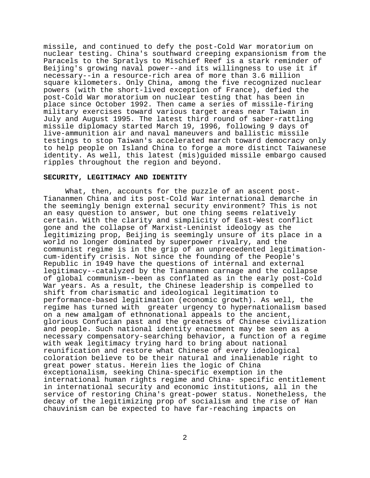missile, and continued to defy the post-Cold War moratorium on nuclear testing. China's southward creeping expansionism from the Paracels to the Spratlys to Mischief Reef is a stark reminder of Beijing's growing naval power--and its willingness to use it if necessary--in a resource-rich area of more than 3.6 million square kilometers. Only China, among the five recognized nuclear powers (with the short-lived exception of France), defied the post-Cold War moratorium on nuclear testing that has been in place since October 1992. Then came a series of missile-firing military exercises toward various target areas near Taiwan in July and August 1995. The latest third round of saber-rattling missile diplomacy started March 19, 1996, following 9 days of live-ammunition air and naval maneuvers and ballistic missile testings to stop Taiwan's accelerated march toward democracy only to help people on Island China to forge a more distinct Taiwanese identity. As well, this latest (mis)guided missile embargo caused ripples throughout the region and beyond.

### **SECURITY, LEGITIMACY AND IDENTITY**

What, then, accounts for the puzzle of an ascent post-Tiananmen China and its post-Cold War international demarche in the seemingly benign external security environment? This is not an easy question to answer, but one thing seems relatively certain. With the clarity and simplicity of East-West conflict gone and the collapse of Marxist-Leninist ideology as the legitimizing prop, Beijing is seemingly unsure of its place in a world no longer dominated by superpower rivalry, and the communist regime is in the grip of an unprecedented legitimationcum-identify crisis. Not since the founding of the People's Republic in 1949 have the questions of internal and external legitimacy--catalyzed by the Tiananmen carnage and the collapse of global communism--been as conflated as in the early post-Cold War years. As a result, the Chinese leadership is compelled to shift from charismatic and ideological legitimation to performance-based legitimation (economic growth). As well, the regime has turned with greater urgency to hypernationalism based on a new amalgam of ethnonational appeals to the ancient, glorious Confucian past and the greatness of Chinese civilization and people. Such national identity enactment may be seen as a necessary compensatory-searching behavior, a function of a regime with weak legitimacy trying hard to bring about national reunification and restore what Chinese of every ideological coloration believe to be their natural and inalienable right to great power status. Herein lies the logic of China exceptionalism, seeking China-specific exemption in the international human rights regime and China- specific entitlement in international security and economic institutions, all in the service of restoring China's great-power status. Nonetheless, the decay of the legitimizing prop of socialism and the rise of Han chauvinism can be expected to have far-reaching impacts on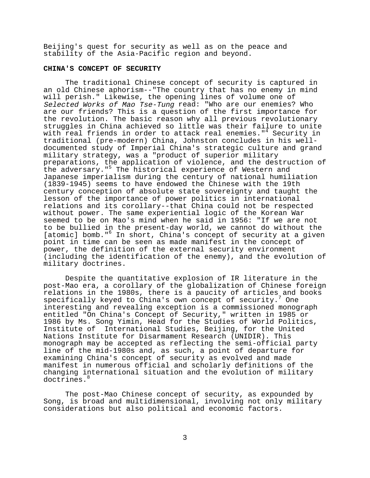Beijing's quest for security as well as on the peace and stability of the Asia-Pacific region and beyond.

#### **CHINA'S CONCEPT OF SECURITY**

The traditional Chinese concept of security is captured in an old Chinese aphorism--"The country that has no enemy in mind will perish." Likewise, the opening lines of volume one of Selected Works of Mao Tse-Tung read: "Who are our enemies? Who are our friends? This is a question of the first importance for the revolution. The basic reason why all previous revolutionary struggles in China achieved so little was their failure to unite with real friends in order to attack real enemies."<sup>4</sup> Security in traditional (pre-modern) China, Johnston concludes in his welldocumented study of Imperial China's strategic culture and grand military strategy, was a "product of superior military preparations, the application of violence, and the destruction of the adversary."5 The historical experience of Western and Japanese imperialism during the century of national humiliation (1839-1945) seems to have endowed the Chinese with the 19th century conception of absolute state sovereignty and taught the lesson of the importance of power politics in international relations and its corollary--that China could not be respected without power. The same experiential logic of the Korean War seemed to be on Mao's mind when he said in 1956: "If we are not to be bullied in the present-day world, we cannot do without the [atomic] bomb."<sup>6</sup> In short, China's concept of security at a given point in time can be seen as made manifest in the concept of power, the definition of the external security environment (including the identification of the enemy), and the evolution of military doctrines.

Despite the quantitative explosion of IR literature in the post-Mao era, a corollary of the globalization of Chinese foreign relations in the 1980s, there is a paucity of articles and books specifically keyed to China's own concept of security.<sup>7</sup> One interesting and revealing exception is a commissioned monograph entitled "On China's Concept of Security," written in 1985 or 1986 by Ms. Song Yimin, Head for the Studies of World Politics, Institute of International Studies, Beijing, for the United Nations Institute for Disarmament Research (UNIDIR). This monograph may be accepted as reflecting the semi-official party line of the mid-1980s and, as such, a point of departure for examining China's concept of security as evolved and made manifest in numerous official and scholarly definitions of the changing international situation and the evolution of military doctrines.<sup>8</sup>

The post-Mao Chinese concept of security, as expounded by Song, is broad and multidimensional, involving not only military considerations but also political and economic factors.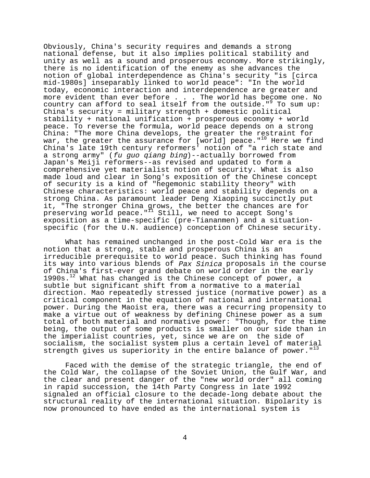Obviously, China's security requires and demands a strong national defense, but it also implies political stability and unity as well as a sound and prosperous economy. More strikingly, there is no identification of the enemy as she advances the notion of global interdependence as China's security "is [circa mid-1980s] inseparably linked to world peace": "In the world today, economic interaction and interdependence are greater and more evident than ever before . . . The world has become one. No country can afford to seal itself from the outside." $9$  To sum up: China's security = military strength + domestic political stability + national unification + prosperous economy + world peace. To reverse the formula, world peace depends on a strong China: "The more China develops, the greater the restraint for war, the greater the assurance for [world] peace."<sup>10</sup> Here we find China's late 19th century reformers' notion of "a rich state and a strong army" (fu guo qiang bing)--actually borrowed from Japan's Meiji reformers--as revised and updated to form a comprehensive yet materialist notion of security. What is also made loud and clear in Song's exposition of the Chinese concept of security is a kind of "hegemonic stability theory" with Chinese characteristics: world peace and stability depends on a strong China. As paramount leader Deng Xiaoping succinctly put it, "The stronger China grows, the better the chances are for preserving world peace."<sup>I1</sup> Still, we need to accept Song's exposition as a time-specific (pre-Tiananmen) and a situationspecific (for the U.N. audience) conception of Chinese security.

What has remained unchanged in the post-Cold War era is the notion that a strong, stable and prosperous China is an irreducible prerequisite to world peace. Such thinking has found its way into various blends of Pax Sinica proposals in the course of China's first-ever grand debate on world order in the early  $1990s$ .<sup>12</sup> What has changed is the Chinese concept of power, a subtle but significant shift from a normative to a material direction. Mao repeatedly stressed justice (normative power) as a critical component in the equation of national and international power. During the Maoist era, there was a recurring propensity to make a virtue out of weakness by defining Chinese power as a sum total of both material and normative power: "Though, for the time being, the output of some products is smaller on our side than in the imperialist countries, yet, since we are on the side of socialism, the socialist system plus a certain level of material strength gives us superiority in the entire balance of power. $13$ 

Faced with the demise of the strategic triangle, the end of the Cold War, the collapse of the Soviet Union, the Gulf War, and the clear and present danger of the "new world order" all coming in rapid succession, the 14th Party Congress in late 1992 signaled an official closure to the decade-long debate about the structural reality of the international situation. Bipolarity is now pronounced to have ended as the international system is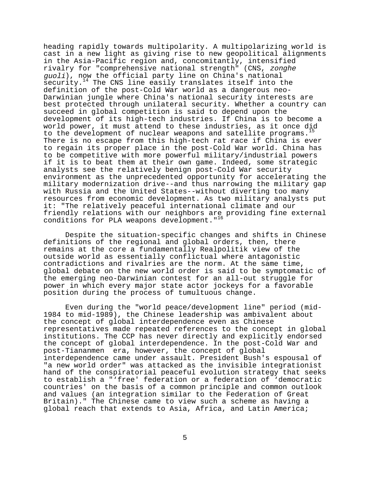heading rapidly towards multipolarity. A multipolarizing world is cast in a new light as giving rise to new geopolitical alignments in the Asia-Pacific region and, concomitantly, intensified rivalry for "comprehensive national strength" (CNS, zonghe guoli), now the official party line on China's national security.<sup>14</sup> The CNS line easily translates itself into the definition of the post-Cold War world as a dangerous neo-Darwinian jungle where China's national security interests are best protected through unilateral security. Whether a country can succeed in global competition is said to depend upon the development of its high-tech industries. If China is to become a world power, it must attend to these industries, as it once did to the development of nuclear weapons and satellite programs.<sup>15</sup> There is no escape from this high-tech rat race if China is ever to regain its proper place in the post-Cold War world. China has to be competitive with more powerful military/industrial powers if it is to beat them at their own game. Indeed, some strategic analysts see the relatively benign post-Cold War security environment as the unprecedented opportunity for accelerating the military modernization drive--and thus narrowing the military gap with Russia and the United States--without diverting too many resources from economic development. As two military analysts put it: "The relatively peaceful international climate and our friendly relations with our neighbors are providing fine external conditions for PLA weapons development."<sup>16</sup>

Despite the situation-specific changes and shifts in Chinese definitions of the regional and global orders, then, there remains at the core a fundamentally Realpolitik view of the outside world as essentially conflictual where antagonistic contradictions and rivalries are the norm. At the same time, global debate on the new world order is said to be symptomatic of the emerging neo-Darwinian contest for an all-out struggle for power in which every major state actor jockeys for a favorable position during the process of tumultuous change.

Even during the "world peace/development line" period (mid-1984 to mid-1989), the Chinese leadership was ambivalent about the concept of global interdependence even as Chinese representatives made repeated references to the concept in global institutions. The CCP has never directly and explicitly endorsed the concept of global interdependence. In the post-Cold War and post-Tiananmen era, however, the concept of global interdependence came under assault. President Bush's espousal of "a new world order" was attacked as the invisible integrationist hand of the conspiratorial peaceful evolution strategy that seeks to establish a "'free' federation or a federation of 'democratic countries' on the basis of a common principle and common outlook and values (an integration similar to the Federation of Great Britain)." The Chinese came to view such a scheme as having a global reach that extends to Asia, Africa, and Latin America;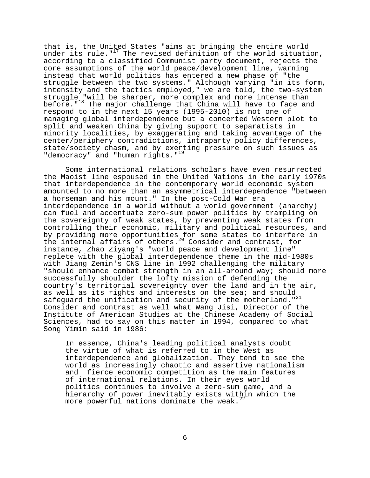that is, the United States "aims at bringing the entire world under its rule."<sup>17</sup> The revised definition of the world situation, according to a classified Communist party document, rejects the core assumptions of the world peace/development line, warning instead that world politics has entered a new phase of "the struggle between the two systems." Although varying "in its form, intensity and the tactics employed," we are told, the two-system struggle "will be sharper, more complex and more intense than before."<sup>18</sup> The major challenge that China will have to face and respond to in the next 15 years (1995-2010) is not one of managing global interdependence but a concerted Western plot to split and weaken China by giving support to separatists in minority localities, by exaggerating and taking advantage of the center/periphery contradictions, intraparty policy differences, state/society chasm, and by exerting pressure on such issues as "democracy" and "human rights."<sup>19</sup>

Some international relations scholars have even resurrected the Maoist line espoused in the United Nations in the early 1970s that interdependence in the contemporary world economic system amounted to no more than an asymmetrical interdependence "between a horseman and his mount." In the post-Cold War era interdependence in a world without a world government (anarchy) can fuel and accentuate zero-sum power politics by trampling on the sovereignty of weak states, by preventing weak states from controlling their economic, military and political resources, and by providing more opportunities for some states to interfere in the internal affairs of others.<sup>20</sup> Consider and contrast, for instance, Zhao Ziyang's "world peace and development line" replete with the global interdependence theme in the mid-1980s with Jiang Zemin's CNS line in 1992 challenging the military "should enhance combat strength in an all-around way; should more successfully shoulder the lofty mission of defending the country's territorial sovereignty over the land and in the air, as well as its rights and interests on the sea; and should safeguard the unification and security of the motherland."<sup>21</sup> Consider and contrast as well what Wang Jisi, Director of the Institute of American Studies at the Chinese Academy of Social Sciences, had to say on this matter in 1994, compared to what Song Yimin said in 1986:

In essence, China's leading political analysts doubt the virtue of what is referred to in the West as interdependence and globalization. They tend to see the world as increasingly chaotic and assertive nationalism and fierce economic competition as the main features of international relations. In their eyes world politics continues to involve a zero-sum game, and a hierarchy of power inevitably exists within which the more powerful nations dominate the weak. $^{22}$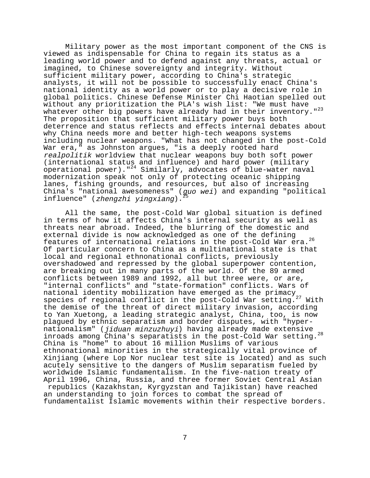Military power as the most important component of the CNS is viewed as indispensable for China to regain its status as a leading world power and to defend against any threats, actual or imagined, to Chinese sovereignty and integrity. Without sufficient military power, according to China's strategic analysts, it will not be possible to successfully enact China's national identity as a world power or to play a decisive role in global politics. Chinese Defense Minister Chi Haotian spelled out without any prioritization the PLA's wish list: "We must have whatever other big powers have already had in their inventory."<sup>23</sup> The proposition that sufficient military power buys both deterrence and status reflects and effects internal debates about why China needs more and better high-tech weapons systems including nuclear weapons. "What has not changed in the post-Cold War era," as Johnston argues, "is a deeply rooted hard realpolitik worldview that nuclear weapons buy both soft power (international status and influence) and hard power (military operational power)."24 Similarly, advocates of blue-water naval modernization speak not only of protecting oceanic shipping lanes, fishing grounds, and resources, but also of increasing China's "national awesomeness" (guo wei) and expanding "political influence" (zhengzhi yingxiang).

All the same, the post-Cold War global situation is defined in terms of how it affects China's internal security as well as threats near abroad. Indeed, the blurring of the domestic and external divide is now acknowledged as one of the defining features of international relations in the post-Cold War era.26 Of particular concern to China as a multinational state is that local and regional ethnonational conflicts, previously overshadowed and repressed by the global superpower contention, are breaking out in many parts of the world. Of the 89 armed conflicts between 1989 and 1992, all but three were, or are,<br>"internal conflicts" and "state-formation" conflicts. Wars of "internal conflicts" and "state-formation" conflicts. Wars of national identity mobilization have emerged as the primacy species of regional conflict in the post-Cold War setting.<sup>27</sup> With the demise of the threat of direct military invasion, according to Yan Xuetong, a leading strategic analyst, China, too, is now plagued by ethnic separatism and border disputes, with "hypernationalism" (jiduan minzuzhuyi) having already made extensive inroads among China's separatists in the post-Cold War setting.28 China is "home" to about 16 million Muslims of various ethnonational minorities in the strategically vital province of Xinjiang (where Lop Nor nuclear test site is located) and as such acutely sensitive to the dangers of Muslim separatism fueled by worldwide Islamic fundamentalism. In the five-nation treaty of April 1996, China, Russia, and three former Soviet Central Asian republics (Kazakhstan, Kyrgyzstan and Tajikistan) have reached an understanding to join forces to combat the spread of fundamentalist Islamic movements within their respective borders.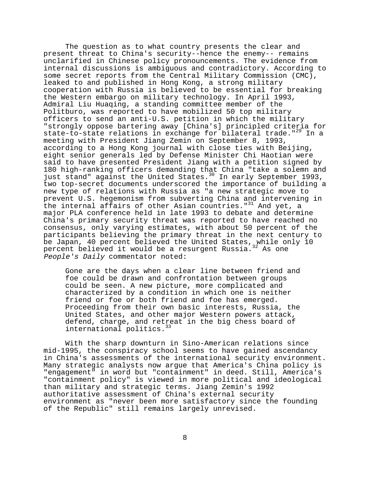The question as to what country presents the clear and present threat to China's security--hence the enemy-- remains unclarified in Chinese policy pronouncements. The evidence from internal discussions is ambiguous and contradictory. According to some secret reports from the Central Military Commission (CMC), leaked to and published in Hong Kong, a strong military cooperation with Russia is believed to be essential for breaking the Western embargo on military technology. In April 1993, Admiral Liu Huaqing, a standing committee member of the Politburo, was reported to have mobilized 50 top military officers to send an anti-U.S. petition in which the military "strongly oppose bartering away [China's] principled criteria for state-to-state relations in exchange for bilateral trade."<sup>29</sup> In a meeting with President Jiang Zemin on September 8, 1993, according to a Hong Kong journal with close ties with Beijing, eight senior generals led by Defense Minister Chi Haotian were said to have presented President Jiang with a petition signed by 180 high-ranking officers demanding that China "take a solemn and just stand" against the United States.<sup>30</sup> In early September 1993, two top-secret documents underscored the importance of building a new type of relations with Russia as "a new strategic move to prevent U.S. hegemonism from subverting China and intervening in the internal affairs of other Asian countries."<sup>31</sup> And yet, a major PLA conference held in late 1993 to debate and determine China's primary security threat was reported to have reached no consensus, only varying estimates, with about 50 percent of the participants believing the primary threat in the next century to be Japan, 40 percent believed the United States, while only 10<br>percent believed it would be a resurgent Russia.<sup>32</sup> As one percent believed it would be a resurgent Russia.<sup>3</sup> People's Daily commentator noted:

Gone are the days when a clear line between friend and foe could be drawn and confrontation between groups could be seen. A new picture, more complicated and characterized by a condition in which one is neither friend or foe or both friend and foe has emerged. Proceeding from their own basic interests, Russia, the United States, and other major Western powers attack, defend, charge, and retreat in the big chess board of international politics.<sup>33</sup>

With the sharp downturn in Sino-American relations since mid-1995, the conspiracy school seems to have gained ascendancy in China's assessments of the international security environment. Many strategic analysts now argue that America's China policy is "engagement" in word but "containment" in deed. Still, America's "containment policy" is viewed in more political and ideological than military and strategic terms. Jiang Zemin's 1992 authoritative assessment of China's external security environment as "never been more satisfactory since the founding of the Republic" still remains largely unrevised.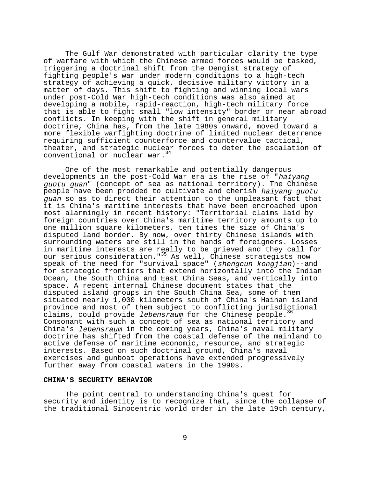The Gulf War demonstrated with particular clarity the type of warfare with which the Chinese armed forces would be tasked, triggering a doctrinal shift from the Dengist strategy of fighting people's war under modern conditions to a high-tech strategy of achieving a quick, decisive military victory in a matter of days. This shift to fighting and winning local wars under post-Cold War high-tech conditions was also aimed at developing a mobile, rapid-reaction, high-tech military force that is able to fight small "low intensity" border or near abroad conflicts. In keeping with the shift in general military doctrine, China has, from the late 1980s onward, moved toward a more flexible warfighting doctrine of limited nuclear deterrence requiring sufficient counterforce and countervalue tactical, theater, and strategic nuclear forces to deter the escalation of conventional or nuclear war.<sup>34</sup>

One of the most remarkable and potentially dangerous developments in the post-Cold War era is the rise of "haiyang guotu guan" (concept of sea as national territory). The Chinese people have been prodded to cultivate and cherish haiyang guotu guan so as to direct their attention to the unpleasant fact that it is China's maritime interests that have been encroached upon most alarmingly in recent history: "Territorial claims laid by foreign countries over China's maritime territory amounts up to one million square kilometers, ten times the size of China's disputed land border. By now, over thirty Chinese islands with surrounding waters are still in the hands of foreigners. Losses in maritime interests are really to be grieved and they call for our serious consideration."<sup>35</sup> As well, Chinese strategists now speak of the need for "survival space" (shengcun kongjian)--and for strategic frontiers that extend horizontally into the Indian Ocean, the South China and East China Seas, and vertically into space. A recent internal Chinese document states that the disputed island groups in the South China Sea, some of them situated nearly 1,000 kilometers south of China's Hainan island province and most of them subject to conflicting jurisdictional claims, could provide *lebensraum* for the Chinese people.<sup>36</sup> Consonant with such a concept of sea as national territory and China's lebensraum in the coming years, China's naval military doctrine has shifted from the coastal defense of the mainland to active defense of maritime economic, resource, and strategic interests. Based on such doctrinal ground, China's naval exercises and gunboat operations have extended progressively further away from coastal waters in the 1990s.

## **CHINA'S SECURITY BEHAVIOR**

The point central to understanding China's quest for security and identity is to recognize that, since the collapse of the traditional Sinocentric world order in the late 19th century,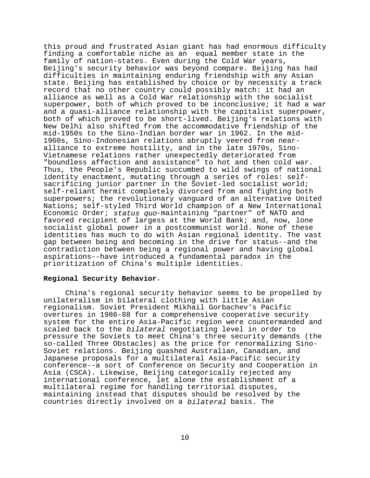this proud and frustrated Asian giant has had enormous difficulty finding a comfortable niche as an equal member state in the family of nation-states. Even during the Cold War years, Beijing's security behavior was beyond compare. Beijing has had difficulties in maintaining enduring friendship with any Asian state. Beijing has established by choice or by necessity a track record that no other country could possibly match: it had an alliance as well as a Cold War relationship with the socialist superpower, both of which proved to be inconclusive; it had a war and a quasi-alliance relationship with the capitalist superpower, both of which proved to be short-lived. Beijing's relations with New Delhi also shifted from the accommodative friendship of the mid-1950s to the Sino-Indian border war in 1962. In the mid-1960s, Sino-Indonesian relations abruptly veered from nearalliance to extreme hostility, and in the late 1970s, Sino-Vietnamese relations rather unexpectedly deteriorated from "boundless affection and assistance" to hot and then cold war. Thus, the People's Republic succumbed to wild swings of national identity enactment, mutating through a series of roles: selfsacrificing junior partner in the Soviet-led socialist world; self-reliant hermit completely divorced from and fighting both superpowers; the revolutionary vanguard of an alternative United Nations; self-styled Third World champion of a New International Economic Order; status quo-maintaining "partner" of NATO and favored recipient of largess at the World Bank; and, now, lone socialist global power in a postcommunist world. None of these identities has much to do with Asian regional identity. The vast gap between being and becoming in the drive for status--and the contradiction between being a regional power and having global aspirations--have introduced a fundamental paradox in the prioritization of China's multiple identities.

# **Regional Security Behavior**.

China's regional security behavior seems to be propelled by unilateralism in bilateral clothing with little Asian regionalism. Soviet President Mikhail Gorbachev's Pacific overtures in 1986-88 for a comprehensive cooperative security system for the entire Asia-Pacific region were countermanded and scaled back to the bilateral negotiating level in order to pressure the Soviets to meet China's three security demands (the so-called Three Obstacles) as the price for renormalizing Sino-Soviet relations. Beijing quashed Australian, Canadian, and Japanese proposals for a multilateral Asia-Pacific security conference--a sort of Conference on Security and Cooperation in Asia (CSCA). Likewise, Beijing categorically rejected any international conference, let alone the establishment of a multilateral regime for handling territorial disputes, maintaining instead that disputes should be resolved by the countries directly involved on a bilateral basis. The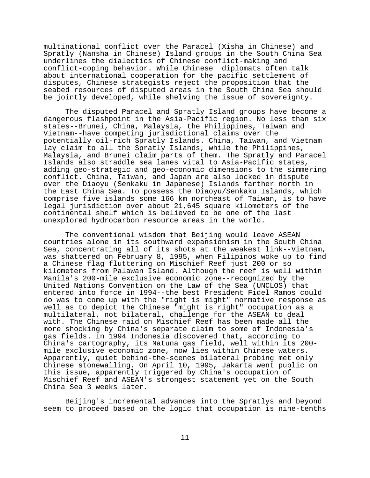multinational conflict over the Paracel (Xisha in Chinese) and Spratly (Nansha in Chinese) Island groups in the South China Sea underlines the dialectics of Chinese conflict-making and conflict-coping behavior. While Chinese diplomats often talk about international cooperation for the pacific settlement of disputes, Chinese strategists reject the proposition that the seabed resources of disputed areas in the South China Sea should be jointly developed, while shelving the issue of sovereignty.

The disputed Paracel and Spratly Island groups have become a dangerous flashpoint in the Asia-Pacific region. No less than six states--Brunei, China, Malaysia, the Philippines, Taiwan and Vietnam--have competing jurisdictional claims over the potentially oil-rich Spratly Islands. China, Taiwan, and Vietnam lay claim to all the Spratly Islands, while the Philippines, Malaysia, and Brunei claim parts of them. The Spratly and Paracel Islands also straddle sea lanes vital to Asia-Pacific states, adding geo-strategic and geo-economic dimensions to the simmering conflict. China, Taiwan, and Japan are also locked in dispute over the Diaoyu (Senkaku in Japanese) Islands farther north in the East China Sea. To possess the Diaoyu/Senkaku Islands, which comprise five islands some 166 km northeast of Taiwan, is to have legal jurisdiction over about 21,645 square kilometers of the continental shelf which is believed to be one of the last unexplored hydrocarbon resource areas in the world.

The conventional wisdom that Beijing would leave ASEAN countries alone in its southward expansionism in the South China Sea, concentrating all of its shots at the weakest link--Vietnam, was shattered on February 8, 1995, when Filipinos woke up to find a Chinese flag fluttering on Mischief Reef just 200 or so kilometers from Palawan Island. Although the reef is well within Manila's 200-mile exclusive economic zone--recognized by the United Nations Convention on the Law of the Sea (UNCLOS) that entered into force in 1994--the best President Fidel Ramos could do was to come up with the "right is might" normative response as well as to depict the Chinese "might is right" occupation as a multilateral, not bilateral, challenge for the ASEAN to deal with. The Chinese raid on Mischief Reef has been made all the more shocking by China's separate claim to some of Indonesia's gas fields. In 1994 Indonesia discovered that, according to China's cartography, its Natuna gas field, well within its 200 mile exclusive economic zone, now lies within Chinese waters. Apparently, quiet behind-the-scenes bilateral probing met only Chinese stonewalling. On April 10, 1995, Jakarta went public on this issue, apparently triggered by China's occupation of Mischief Reef and ASEAN's strongest statement yet on the South China Sea 3 weeks later.

Beijing's incremental advances into the Spratlys and beyond seem to proceed based on the logic that occupation is nine-tenths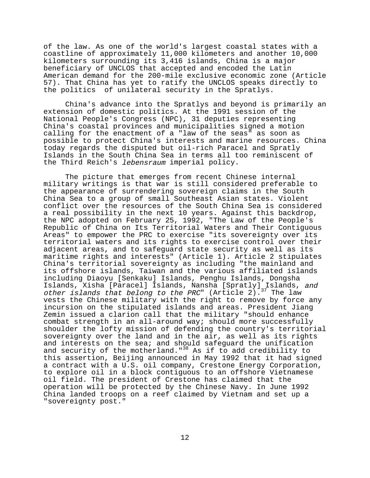of the law. As one of the world's largest coastal states with a coastline of approximately 11,000 kilometers and another 10,000 kilometers surrounding its 3,416 islands, China is a major beneficiary of UNCLOS that accepted and encoded the Latin American demand for the 200-mile exclusive economic zone (Article 57). That China has yet to ratify the UNCLOS speaks directly to the politics of unilateral security in the Spratlys.

China's advance into the Spratlys and beyond is primarily an extension of domestic politics. At the 1991 session of the National People's Congress (NPC), 31 deputies representing China's coastal provinces and municipalities signed a motion calling for the enactment of a "law of the seas" as soon as possible to protect China's interests and marine resources. China today regards the disputed but oil-rich Paracel and Spratly Islands in the South China Sea in terms all too reminiscent of the Third Reich's lebensraum imperial policy.

The picture that emerges from recent Chinese internal military writings is that war is still considered preferable to the appearance of surrendering sovereign claims in the South China Sea to a group of small Southeast Asian states. Violent conflict over the resources of the South China Sea is considered a real possibility in the next 10 years. Against this backdrop, the NPC adopted on February 25, 1992, "The Law of the People's Republic of China on Its Territorial Waters and Their Contiguous Areas" to empower the PRC to exercise "its sovereignty over its territorial waters and its rights to exercise control over their adjacent areas, and to safeguard state security as well as its maritime rights and interests" (Article 1). Article 2 stipulates China's territorial sovereignty as including "the mainland and its offshore islands, Taiwan and the various affiliated islands including Diaoyu [Senkaku] Islands, Penghu Islands, Dongsha Islands, Xisha [Paracel] Islands, Nansha [Spratly] Islands, and other islands that belong to the PRC" (Article 2).<sup>37</sup> The law vests the Chinese military with the right to remove by force any incursion on the stipulated islands and areas. President Jiang Zemin issued a clarion call that the military "should enhance combat strength in an all-around way; should more successfully shoulder the lofty mission of defending the country's territorial sovereignty over the land and in the air, as well as its rights and interests on the sea; and should safequard the unification and security of the motherland."<sup>38</sup> As if to add credibility to this assertion, Beijing announced in May 1992 that it had signed a contract with a U.S. oil company, Crestone Energy Corporation, to explore oil in a block contiguous to an offshore Vietnamese oil field. The president of Crestone has claimed that the operation will be protected by the Chinese Navy. In June 1992 China landed troops on a reef claimed by Vietnam and set up a "sovereignty post."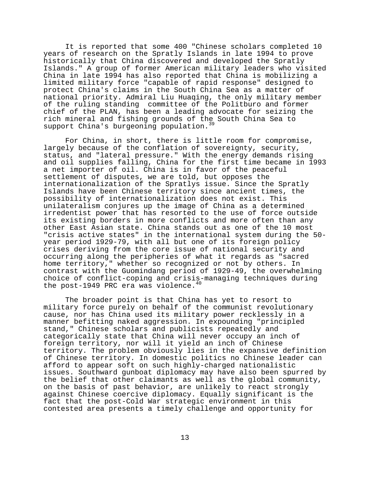It is reported that some 400 "Chinese scholars completed 10 years of research on the Spratly Islands in late 1994 to prove historically that China discovered and developed the Spratly Islands." A group of former American military leaders who visited China in late 1994 has also reported that China is mobilizing a limited military force "capable of rapid response" designed to protect China's claims in the South China Sea as a matter of national priority. Admiral Liu Huaqing, the only military member of the ruling standing committee of the Politburo and former chief of the PLAN, has been a leading advocate for seizing the rich mineral and fishing grounds of the South China Sea to support China's burgeoning population.<sup>39</sup>

For China, in short, there is little room for compromise, largely because of the conflation of sovereignty, security, status, and "lateral pressure." With the energy demands rising and oil supplies falling, China for the first time became in 1993 a net importer of oil. China is in favor of the peaceful settlement of disputes, we are told, but opposes the internationalization of the Spratlys issue. Since the Spratly Islands have been Chinese territory since ancient times, the possibility of internationalization does not exist. This unilateralism conjures up the image of China as a determined irredentist power that has resorted to the use of force outside its existing borders in more conflicts and more often than any other East Asian state. China stands out as one of the 10 most "crisis active states" in the international system during the 50 year period 1929-79, with all but one of its foreign policy crises deriving from the core issue of national security and occurring along the peripheries of what it regards as "sacred home territory," whether so recognized or not by others. In contrast with the Guomindang period of 1929-49, the overwhelming choice of conflict-coping and crisis-managing techniques during the post-1949 PRC era was violence.  $40$ 

The broader point is that China has yet to resort to military force purely on behalf of the communist revolutionary cause, nor has China used its military power recklessly in a manner befitting naked aggression. In expounding "principled stand," Chinese scholars and publicists repeatedly and categorically state that China will never occupy an inch of foreign territory, nor will it yield an inch of Chinese territory. The problem obviously lies in the expansive definition of Chinese territory. In domestic politics no Chinese leader can afford to appear soft on such highly-charged nationalistic issues. Southward gunboat diplomacy may have also been spurred by the belief that other claimants as well as the global community, on the basis of past behavior, are unlikely to react strongly against Chinese coercive diplomacy. Equally significant is the fact that the post-Cold War strategic environment in this contested area presents a timely challenge and opportunity for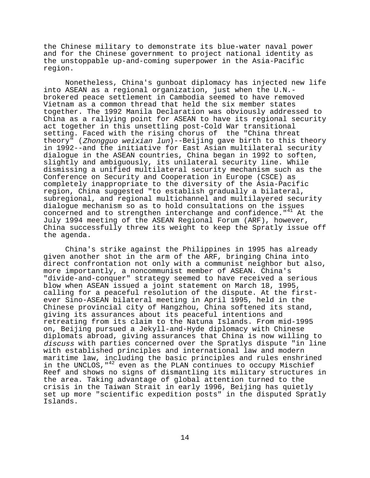the Chinese military to demonstrate its blue-water naval power and for the Chinese government to project national identity as the unstoppable up-and-coming superpower in the Asia-Pacific region.

Nonetheless, China's gunboat diplomacy has injected new life into ASEAN as a regional organization, just when the U.N. brokered peace settlement in Cambodia seemed to have removed Vietnam as a common thread that held the six member states together. The 1992 Manila Declaration was obviously addressed to China as a rallying point for ASEAN to have its regional security act together in this unsettling post-Cold War transitional setting. Faced with the rising chorus of the "China threat theory" (Zhongguo weixian lun)--Beijing gave birth to this theory in 1992--and the initiative for East Asian multilateral security dialogue in the ASEAN countries, China began in 1992 to soften, slightly and ambiguously, its unilateral security line. While dismissing a unified multilateral security mechanism such as the Conference on Security and Cooperation in Europe (CSCE) as completely inappropriate to the diversity of the Asia-Pacific region, China suggested "to establish gradually a bilateral, subregional, and regional multichannel and multilayered security dialogue mechanism so as to hold consultations on the issues concerned and to strengthen interchange and confidence."<sup>41</sup> At the July 1994 meeting of the ASEAN Regional Forum (ARF), however, China successfully threw its weight to keep the Spratly issue off the agenda.

China's strike against the Philippines in 1995 has already given another shot in the arm of the ARF, bringing China into direct confrontation not only with a communist neighbor but also, more importantly, a noncommunist member of ASEAN. China's "divide-and-conquer" strategy seemed to have received a serious blow when ASEAN issued a joint statement on March 18, 1995, calling for a peaceful resolution of the dispute. At the firstever Sino-ASEAN bilateral meeting in April 1995, held in the Chinese provincial city of Hangzhou, China softened its stand, giving its assurances about its peaceful intentions and retreating from its claim to the Natuna Islands. From mid-1995 on, Beijing pursued a Jekyll-and-Hyde diplomacy with Chinese diplomats abroad, giving assurances that China is now willing to discuss with parties concerned over the Spratlys dispute "in line with established principles and international law and modern maritime law, including the basic principles and rules enshrined in the UNCLOS,  $1^{42}$  even as the PLAN continues to occupy Mischief Reef and shows no signs of dismantling its military structures in the area. Taking advantage of global attention turned to the crisis in the Taiwan Strait in early 1996, Beijing has quietly set up more "scientific expedition posts" in the disputed Spratly Islands.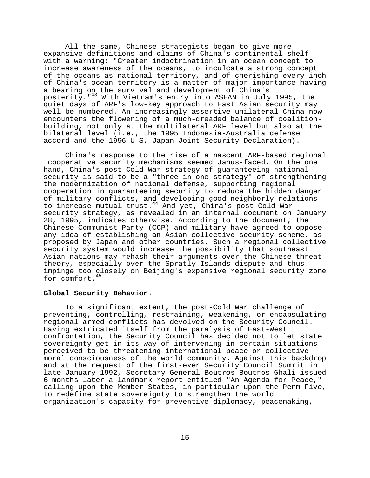All the same, Chinese strategists began to give more expansive definitions and claims of China's continental shelf with a warning: "Greater indoctrination in an ocean concept to increase awareness of the oceans, to inculcate a strong concept of the oceans as national territory, and of cherishing every inch of China's ocean territory is a matter of major importance having a bearing on the survival and development of China's posterity." $43$  With Vietnam's entry into ASEAN in July 1995, the quiet days of ARF's low-key approach to East Asian security may well be numbered. An increasingly assertive unilateral China now encounters the flowering of a much-dreaded balance of coalitionbuilding, not only at the multilateral ARF level but also at the bilateral level (i.e., the 1995 Indonesia-Australia defense accord and the 1996 U.S.-Japan Joint Security Declaration).

China's response to the rise of a nascent ARF-based regional cooperative security mechanisms seemed Janus-faced. On the one hand, China's post-Cold War strategy of guaranteeing national security is said to be a "three-in-one strategy" of strengthening the modernization of national defense, supporting regional cooperation in guaranteeing security to reduce the hidden danger of military conflicts, and developing good-neighborly relations to increase mutual trust.44 And yet, China's post-Cold War security strategy, as revealed in an internal document on January 28, 1995, indicates otherwise. According to the document, the Chinese Communist Party (CCP) and military have agreed to oppose any idea of establishing an Asian collective security scheme, as proposed by Japan and other countries. Such a regional collective security system would increase the possibility that southeast Asian nations may rehash their arguments over the Chinese threat theory, especially over the Spratly Islands dispute and thus impinge too closely on Beijing's expansive regional security zone for comfort.

# **Global Security Behavior**.

To a significant extent, the post-Cold War challenge of preventing, controlling, restraining, weakening, or encapsulating regional armed conflicts has devolved on the Security Council. Having extricated itself from the paralysis of East-West confrontation, the Security Council has decided not to let state sovereignty get in its way of intervening in certain situations perceived to be threatening international peace or collective moral consciousness of the world community. Against this backdrop and at the request of the first-ever Security Council Summit in late January 1992, Secretary-General Boutros-Boutros-Ghali issued 6 months later a landmark report entitled "An Agenda for Peace," calling upon the Member States, in particular upon the Perm Five, to redefine state sovereignty to strengthen the world organization's capacity for preventive diplomacy, peacemaking,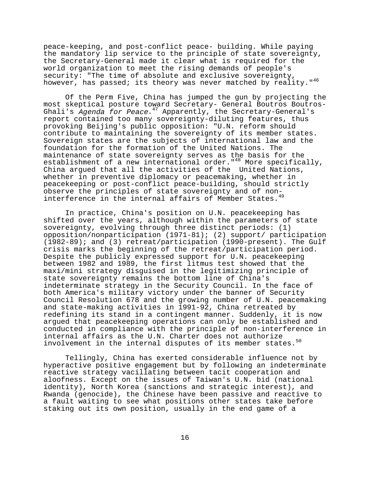peace-keeping, and post-conflict peace- building. While paying the mandatory lip service to the principle of state sovereignty, the Secretary-General made it clear what is required for the world organization to meet the rising demands of people's security: "The time of absolute and exclusive sovereignty, however, has passed; its theory was never matched by reality."<sup>46</sup>

Of the Perm Five, China has jumped the gun by projecting the most skeptical posture toward Secretary- General Boutros Boutros-Ghali's Agenda for Peace.<sup>47</sup> Apparently, the Secretary-General's report contained too many sovereignty-diluting features, thus provoking Beijing's public opposition: "U.N. reform should contribute to maintaining the sovereignty of its member states. Sovereign states are the subjects of international law and the foundation for the formation of the United Nations. The maintenance of state sovereignty serves as the basis for the establishment of a new international order."48 More specifically, China argued that all the activities of the United Nations, whether in preventive diplomacy or peacemaking, whether in peacekeeping or post-conflict peace-building, should strictly observe the principles of state sovereignty and of noninterference in the internal affairs of Member States.<sup>49</sup>

In practice, China's position on U.N. peacekeeping has shifted over the years, although within the parameters of state sovereignty, evolving through three distinct periods: (1) opposition/nonparticipation (1971-81); (2) support/ participation (1982-89); and (3) retreat/participation (1990-present). The Gulf crisis marks the beginning of the retreat/participation period. Despite the publicly expressed support for U.N. peacekeeping between 1982 and 1989, the first litmus test showed that the maxi/mini strategy disguised in the legitimizing principle of state sovereignty remains the bottom line of China's indeterminate strategy in the Security Council. In the face of both America's military victory under the banner of Security Council Resolution 678 and the growing number of U.N. peacemaking and state-making activities in 1991-92, China retreated by redefining its stand in a contingent manner. Suddenly, it is now argued that peacekeeping operations can only be established and conducted in compliance with the principle of non-interference in internal affairs as the U.N. Charter does not authorize involvement in the internal disputes of its member states.<sup>50</sup>

Tellingly, China has exerted considerable influence not by hyperactive positive engagement but by following an indeterminate reactive strategy vacillating between tacit cooperation and aloofness. Except on the issues of Taiwan's U.N. bid (national identity), North Korea (sanctions and strategic interest), and Rwanda (genocide), the Chinese have been passive and reactive to a fault waiting to see what positions other states take before staking out its own position, usually in the end game of a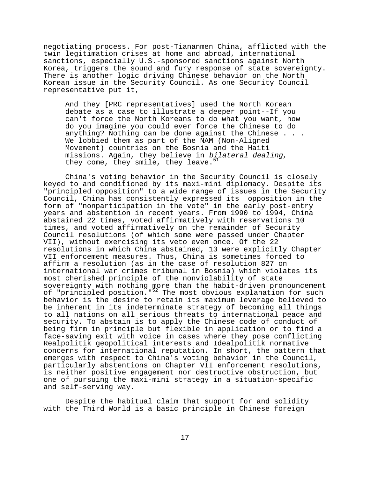negotiating process. For post-Tiananmen China, afflicted with the twin legitimation crises at home and abroad, international sanctions, especially U.S.-sponsored sanctions against North Korea, triggers the sound and fury response of state sovereignty. There is another logic driving Chinese behavior on the North Korean issue in the Security Council. As one Security Council representative put it,

And they [PRC representatives] used the North Korean debate as a case to illustrate a deeper point--If you can't force the North Koreans to do what you want, how do you imagine you could ever force the Chinese to do anything? Nothing can be done against the Chinese . . . We lobbied them as part of the NAM (Non-Aligned Movement) countries on the Bosnia and the Haiti missions. Again, they believe in bilateral dealing, they come, they smile, they leave. $51$ 

China's voting behavior in the Security Council is closely keyed to and conditioned by its maxi-mini diplomacy. Despite its "principled opposition" to a wide range of issues in the Security Council, China has consistently expressed its opposition in the form of "nonparticipation in the vote" in the early post-entry years and abstention in recent years. From 1990 to 1994, China abstained 22 times, voted affirmatively with reservations 10 times, and voted affirmatively on the remainder of Security Council resolutions (of which some were passed under Chapter VII), without exercising its veto even once. Of the 22 resolutions in which China abstained, 13 were explicitly Chapter VII enforcement measures. Thus, China is sometimes forced to affirm a resolution (as in the case of resolution 827 on international war crimes tribunal in Bosnia) which violates its most cherished principle of the nonviolability of state sovereignty with nothing more than the habit-driven pronouncement of "principled position."<sup>52</sup> The most obvious explanation for such behavior is the desire to retain its maximum leverage believed to be inherent in its indeterminate strategy of becoming all things to all nations on all serious threats to international peace and security. To abstain is to apply the Chinese code of conduct of being firm in principle but flexible in application or to find a face-saving exit with voice in cases where they pose conflicting Realpolitik geopolitical interests and Idealpolitik normative concerns for international reputation. In short, the pattern that emerges with respect to China's voting behavior in the Council, particularly abstentions on Chapter VII enforcement resolutions, is neither positive engagement nor destructive obstruction, but one of pursuing the maxi-mini strategy in a situation-specific and self-serving way.

Despite the habitual claim that support for and solidity with the Third World is a basic principle in Chinese foreign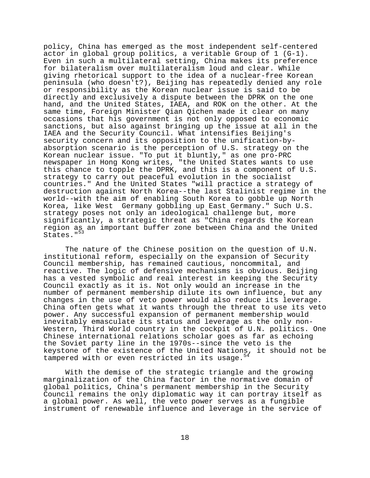policy, China has emerged as the most independent self-centered actor in global group politics, a veritable Group of 1 (G-1). Even in such a multilateral setting, China makes its preference for bilateralism over multilateralism loud and clear. While giving rhetorical support to the idea of a nuclear-free Korean peninsula (who doesn't?), Beijing has repeatedly denied any role or responsibility as the Korean nuclear issue is said to be directly and exclusively a dispute between the DPRK on the one hand, and the United States, IAEA, and ROK on the other. At the same time, Foreign Minister Qian Qichen made it clear on many occasions that his government is not only opposed to economic sanctions, but also against bringing up the issue at all in the IAEA and the Security Council. What intensifies Beijing's security concern and its opposition to the unification-byabsorption scenario is the perception of U.S. strategy on the Korean nuclear issue. "To put it bluntly," as one pro-PRC newspaper in Hong Kong writes, "the United States wants to use this chance to topple the DPRK, and this is a component of U.S. strategy to carry out peaceful evolution in the socialist countries." And the United States "will practice a strategy of destruction against North Korea--the last Stalinist regime in the world--with the aim of enabling South Korea to gobble up North Korea, like West Germany gobbling up East Germany." Such U.S. strategy poses not only an ideological challenge but, more significantly, a strategic threat as "China regards the Korean region as an important buffer zone between China and the United States."<sup>53</sup>

The nature of the Chinese position on the question of U.N. institutional reform, especially on the expansion of Security Council membership, has remained cautious, noncommital, and reactive. The logic of defensive mechanisms is obvious. Beijing has a vested symbolic and real interest in keeping the Security Council exactly as it is. Not only would an increase in the number of permanent membership dilute its own influence, but any changes in the use of veto power would also reduce its leverage. China often gets what it wants through the threat to use its veto power. Any successful expansion of permanent membership would inevitably emasculate its status and leverage as the only non-Western, Third World country in the cockpit of U.N. politics. One Chinese international relations scholar goes as far as echoing the Soviet party line in the 1970s--since the veto is the keystone of the existence of the United Nations, it should not be tampered with or even restricted in its usage.<sup>5</sup>

With the demise of the strategic triangle and the growing marginalization of the China factor in the normative domain of global politics, China's permanent membership in the Security Council remains the only diplomatic way it can portray itself as a global power. As well, the veto power serves as a fungible instrument of renewable influence and leverage in the service of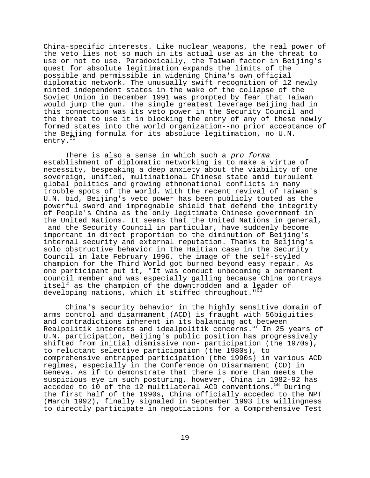China-specific interests. Like nuclear weapons, the real power of the veto lies not so much in its actual use as in the threat to use or not to use. Paradoxically, the Taiwan factor in Beijing's quest for absolute legitimation expands the limits of the possible and permissible in widening China's own official diplomatic network. The unusually swift recognition of 12 newly minted independent states in the wake of the collapse of the Soviet Union in December 1991 was prompted by fear that Taiwan would jump the gun. The single greatest leverage Beijing had in this connection was its veto power in the Security Council and the threat to use it in blocking the entry of any of these newly formed states into the world organization--no prior acceptance of the Beijing formula for its absolute legitimation, no U.N. entry.<sup>5</sup>

There is also a sense in which such a pro forma establishment of diplomatic networking is to make a virtue of necessity, bespeaking a deep anxiety about the viability of one sovereign, unified, multinational Chinese state amid turbulent global politics and growing ethnonational conflicts in many trouble spots of the world. With the recent revival of Taiwan's U.N. bid, Beijing's veto power has been publicly touted as the powerful sword and impregnable shield that defend the integrity of People's China as the only legitimate Chinese government in the United Nations. It seems that the United Nations in general, and the Security Council in particular, have suddenly become important in direct proportion to the diminution of Beijing's internal security and external reputation. Thanks to Beijing's solo obstructive behavior in the Haitian case in the Security Council in late February 1996, the image of the self-styled champion for the Third World got burned beyond easy repair. As one participant put it, "It was conduct unbecoming a permanent council member and was especially galling because China portrays itself as the champion of the downtrodden and a leader of developing nations, which it stiffed throughout."<sup>63</sup>

China's security behavior in the highly sensitive domain of arms control and disarmament (ACD) is fraught with 56biguities and contradictions inherent in its balancing act between Realpolitik interests and idealpolitik concerns.<sup>57</sup> In 25 years of U.N. participation, Beijing's public position has progressively shifted from initial dismissive non- participation (the 1970s), to reluctant selective participation (the 1980s), to comprehensive entrapped participation (the 1990s) in various ACD regimes, especially in the Conference on Disarmament (CD) in Geneva. As if to demonstrate that there is more than meets the suspicious eye in such posturing, however, China in 1982-92 has acceded to 10 of the 12 multilateral ACD conventions.<sup>58</sup> During the first half of the 1990s, China officially acceded to the NPT (March 1992), finally signaled in September 1993 its willingness to directly participate in negotiations for a Comprehensive Test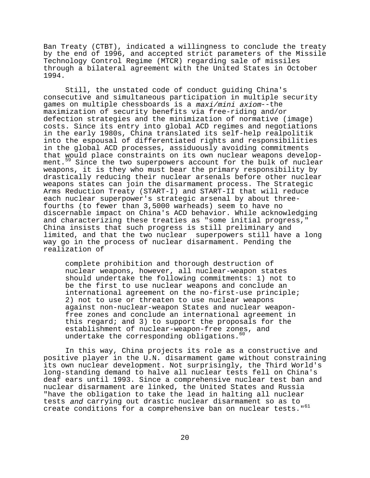Ban Treaty (CTBT), indicated a willingness to conclude the treaty by the end of 1996, and accepted strict parameters of the Missile Technology Control Regime (MTCR) regarding sale of missiles through a bilateral agreement with the United States in October 1994.

Still, the unstated code of conduct guiding China's consecutive and simultaneous participation in multiple security games on multiple chessboards is a maxi/mini axiom--the maximization of security benefits via free-riding and/or defection strategies and the minimization of normative (image) costs. Since its entry into global ACD regimes and negotiations in the early 1980s, China translated its self-help realpolitik into the espousal of differentiated rights and responsibilities in the global ACD processes, assiduously avoiding commitments that would place constraints on its own nuclear weapons development.<sup>59</sup> Since the two superpowers account for the bulk of nuclear weapons, it is they who must bear the primary responsibility by drastically reducing their nuclear arsenals before other nuclear weapons states can join the disarmament process. The Strategic Arms Reduction Treaty (START-I) and START-II that will reduce each nuclear superpower's strategic arsenal by about threefourths (to fewer than 3,5000 warheads) seem to have no discernable impact on China's ACD behavior. While acknowledging and characterizing these treaties as "some initial progress," China insists that such progress is still preliminary and limited, and that the two nuclear superpowers still have a long way go in the process of nuclear disarmament. Pending the realization of

complete prohibition and thorough destruction of nuclear weapons, however, all nuclear-weapon states should undertake the following commitments: 1) not to be the first to use nuclear weapons and conclude an international agreement on the no-first-use principle; 2) not to use or threaten to use nuclear weapons against non-nuclear-weapon States and nuclear weaponfree zones and conclude an international agreement in this regard; and 3) to support the proposals for the establishment of nuclear-weapon-free zones, and undertake the corresponding obligations.<sup>60</sup>

In this way, China projects its role as a constructive and positive player in the U.N. disarmament game without constraining its own nuclear development. Not surprisingly, the Third World's long-standing demand to halve all nuclear tests fell on China's deaf ears until 1993. Since a comprehensive nuclear test ban and nuclear disarmament are linked, the United States and Russia "have the obligation to take the lead in halting all nuclear tests and carrying out drastic nuclear disarmament so as to create conditions for a comprehensive ban on nuclear tests."<sup>61</sup>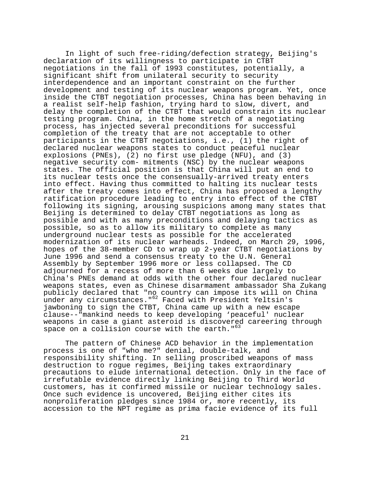In light of such free-riding/defection strategy, Beijing's declaration of its willingness to participate in CTBT negotiations in the fall of 1993 constitutes, potentially, a significant shift from unilateral security to security interdependence and an important constraint on the further development and testing of its nuclear weapons program. Yet, once inside the CTBT negotiation processes, China has been behaving in a realist self-help fashion, trying hard to slow, divert, and delay the completion of the CTBT that would constrain its nuclear testing program. China, in the home stretch of a negotiating process, has injected several preconditions for successful completion of the treaty that are not acceptable to other participants in the CTBT negotiations, i.e., (1) the right of declared nuclear weapons states to conduct peaceful nuclear explosions (PNEs), (2) no first use pledge (NFU), and (3) negative security com- mitments (NSC) by the nuclear weapons states. The official position is that China will put an end to its nuclear tests once the consensually-arrived treaty enters into effect. Having thus committed to halting its nuclear tests after the treaty comes into effect, China has proposed a lengthy ratification procedure leading to entry into effect of the CTBT following its signing, arousing suspicions among many states that Beijing is determined to delay CTBT negotiations as long as possible and with as many preconditions and delaying tactics as possible, so as to allow its military to complete as many underground nuclear tests as possible for the accelerated modernization of its nuclear warheads. Indeed, on March 29, 1996, hopes of the 38-member CD to wrap up 2-year CTBT negotiations by June 1996 and send a consensus treaty to the U.N. General Assembly by September 1996 more or less collapsed. The CD adjourned for a recess of more than 6 weeks due largely to China's PNEs demand at odds with the other four declared nuclear weapons states, even as Chinese disarmament ambassador Sha Zukang publicly declared that "no country can impose its will on China under any circumstances."<sup>62</sup> Faced with President Yeltsin's jawboning to sign the CTBT, China came up with a new escape clause--"mankind needs to keep developing 'peaceful' nuclear weapons in case a giant asteroid is discovered careering through space on a collision course with the earth."<sup>63</sup>

The pattern of Chinese ACD behavior in the implementation process is one of "who me?" denial, double-talk, and responsibility shifting. In selling proscribed weapons of mass destruction to rogue regimes, Beijing takes extraordinary precautions to elude international detection. Only in the face of irrefutable evidence directly linking Beijing to Third World customers, has it confirmed missile or nuclear technology sales. Once such evidence is uncovered, Beijing either cites its nonproliferation pledges since 1984 or, more recently, its accession to the NPT regime as prima facie evidence of its full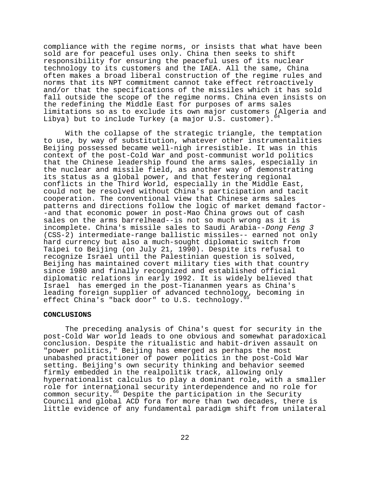compliance with the regime norms, or insists that what have been sold are for peaceful uses only. China then seeks to shift responsibility for ensuring the peaceful uses of its nuclear technology to its customers and the IAEA. All the same, China often makes a broad liberal construction of the regime rules and norms that its NPT commitment cannot take effect retroactively and/or that the specifications of the missiles which it has sold fall outside the scope of the regime norms. China even insists on the redefining the Middle East for purposes of arms sales limitations so as to exclude its own major customers (Algeria and Libya) but to include Turkey (a major U.S. customer).

With the collapse of the strategic triangle, the temptation to use, by way of substitution, whatever other instrumentalities Beijing possessed became well-nigh irresistible. It was in this context of the post-Cold War and post-communist world politics that the Chinese leadership found the arms sales, especially in the nuclear and missile field, as another way of demonstrating its status as a global power, and that festering regional conflicts in the Third World, especially in the Middle East, could not be resolved without China's participation and tacit cooperation. The conventional view that Chinese arms sales patterns and directions follow the logic of market demand factor- -and that economic power in post-Mao China grows out of cash sales on the arms barrelhead--is not so much wrong as it is incomplete. China's missile sales to Saudi Arabia--Dong Feng 3 (CSS-2) intermediate-range ballistic missiles-- earned not only hard currency but also a much-sought diplomatic switch from Taipei to Beijing (on July 21, 1990). Despite its refusal to recognize Israel until the Palestinian question is solved, Beijing has maintained covert military ties with that country since 1980 and finally recognized and established official diplomatic relations in early 1992. It is widely believed that Israel has emerged in the post-Tiananmen years as China's leading foreign supplier of advanced technology, becoming in effect China's "back door" to U.S. technology.

### **CONCLUSIONS**

The preceding analysis of China's quest for security in the post-Cold War world leads to one obvious and somewhat paradoxical conclusion. Despite the ritualistic and habit-driven assault on "power politics," Beijing has emerged as perhaps the most unabashed practitioner of power politics in the post-Cold War setting. Beijing's own security thinking and behavior seemed firmly embedded in the realpolitik track, allowing only hypernationalist calculus to play a dominant role, with a smaller role for international security interdependence and no role for common security.<sup>66</sup> Despite the participation in the Security Council and global ACD fora for more than two decades, there is little evidence of any fundamental paradigm shift from unilateral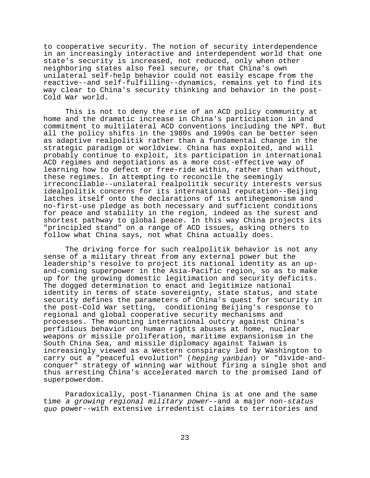to cooperative security. The notion of security interdependence in an increasingly interactive and interdependent world that one state's security is increased, not reduced, only when other neighboring states also feel secure, or that China's own unilateral self-help behavior could not easily escape from the reactive--and self-fulfilling--dynamics, remains yet to find its way clear to China's security thinking and behavior in the post-Cold War world.

This is not to deny the rise of an ACD policy community at home and the dramatic increase in China's participation in and commitment to multilateral ACD conventions including the NPT. But all the policy shifts in the 1980s and 1990s can be better seen as adaptive realpolitik rather than a fundamental change in the strategic paradigm or worldview. China has exploited, and will probably continue to exploit, its participation in international ACD regimes and negotiations as a more cost-effective way of learning how to defect or free-ride within, rather than without, these regimes. In attempting to reconcile the seemingly irreconcilable--unilateral realpolitik security interests versus idealpolitik concerns for its international reputation--Beijing latches itself onto the declarations of its antihegemonism and no-first-use pledge as both necessary and sufficient conditions for peace and stability in the region, indeed as the surest and shortest pathway to global peace. In this way China projects its "principled stand" on a range of ACD issues, asking others to follow what China says, not what China actually does.

The driving force for such realpolitik behavior is not any sense of a military threat from any external power but the leadership's resolve to project its national identity as an upand-coming superpower in the Asia-Pacific region, so as to make up for the growing domestic legitimation and security deficits. The dogged determination to enact and legitimize national identity in terms of state sovereignty, state status, and state security defines the parameters of China's quest for security in the post-Cold War setting, conditioning Beijing's response to regional and global cooperative security mechanisms and processes. The mounting international outcry against China's perfidious behavior on human rights abuses at home, nuclear weapons or missile proliferation, maritime expansionism in the South China Sea, and missile diplomacy against Taiwan is increasingly viewed as a Western conspiracy led by Washington to carry out a "peaceful evolution" (heping yanbian) or "divide-andconquer" strategy of winning war without firing a single shot and thus arresting China's accelerated march to the promised land of superpowerdom.

Paradoxically, post-Tiananmen China is at one and the same time a growing regional military power--and a major non-status quo power--with extensive irredentist claims to territories and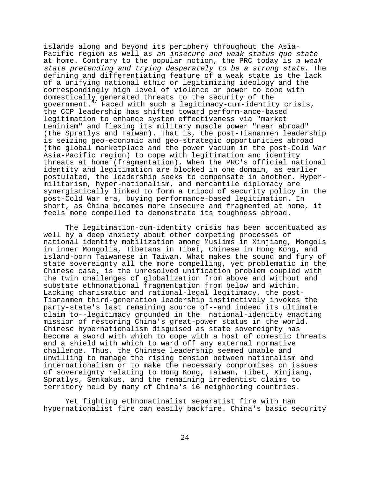islands along and beyond its periphery throughout the Asia-Pacific region as well as an insecure and weak status quo state at home. Contrary to the popular notion, the PRC today is a weak state pretending and trying desperately to be a strong state. The defining and differentiating feature of a weak state is the lack of a unifying national ethic or legitimizing ideology and the correspondingly high level of violence or power to cope with domestically generated threats to the security of the government.67 Faced with such a legitimacy-cum-identity crisis, the CCP leadership has shifted toward perform-ance-based legitimation to enhance system effectiveness via "market Leninism" and flexing its military muscle power "near abroad" (the Spratlys and Taiwan). That is, the post-Tiananmen leadership is seizing geo-economic and geo-strategic opportunities abroad (the global marketplace and the power vacuum in the post-Cold War Asia-Pacific region) to cope with legitimation and identity threats at home (fragmentation). When the PRC's official national identity and legitimation are blocked in one domain, as earlier postulated, the leadership seeks to compensate in another. Hypermilitarism, hyper-nationalism, and mercantile diplomacy are synergistically linked to form a tripod of security policy in the post-Cold War era, buying performance-based legitimation. In short, as China becomes more insecure and fragmented at home, it feels more compelled to demonstrate its toughness abroad.

The legitimation-cum-identity crisis has been accentuated as well by a deep anxiety about other competing processes of national identity mobilization among Muslims in Xinjiang, Mongols in inner Mongolia, Tibetans in Tibet, Chinese in Hong Kong, and island-born Taiwanese in Taiwan. What makes the sound and fury of state sovereignty all the more compelling, yet problematic in the Chinese case, is the unresolved unification problem coupled with the twin challenges of globalization from above and without and substate ethnonational fragmentation from below and within. Lacking charismatic and rational-legal legitimacy, the post-Tiananmen third-generation leadership instinctively invokes the party-state's last remaining source of--and indeed its ultimate claim to--legitimacy grounded in the national-identity enacting mission of restoring China's great-power status in the world. Chinese hypernationalism disguised as state sovereignty has become a sword with which to cope with a host of domestic threats and a shield with which to ward off any external normative challenge. Thus, the Chinese leadership seemed unable and unwilling to manage the rising tension between nationalism and internationalism or to make the necessary compromises on issues of sovereignty relating to Hong Kong, Taiwan, Tibet, Xinjiang, Spratlys, Senkakus, and the remaining irredentist claims to territory held by many of China's 16 neighboring countries.

Yet fighting ethnonatinalist separatist fire with Han hypernationalist fire can easily backfire. China's basic security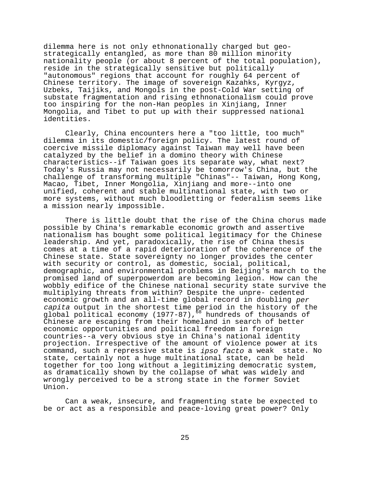dilemma here is not only ethnonationally charged but geostrategically entangled, as more than 80 million minority nationality people (or about 8 percent of the total population), reside in the strategically sensitive but politically "autonomous" regions that account for roughly 64 percent of Chinese territory. The image of sovereign Kazahks, Kyrgyz, Uzbeks, Taijiks, and Mongols in the post-Cold War setting of substate fragmentation and rising ethnonationalism could prove too inspiring for the non-Han peoples in Xinjiang, Inner Mongolia, and Tibet to put up with their suppressed national identities.

Clearly, China encounters here a "too little, too much" dilemma in its domestic/foreign policy. The latest round of coercive missile diplomacy against Taiwan may well have been catalyzed by the belief in a domino theory with Chinese characteristics--if Taiwan goes its separate way, what next? Today's Russia may not necessarily be tomorrow's China, but the challenge of transforming multiple "Chinas"-- Taiwan, Hong Kong, Macao, Tibet, Inner Mongolia, Xinjiang and more--into one unified, coherent and stable multinational state, with two or more systems, without much bloodletting or federalism seems like a mission nearly impossible.

There is little doubt that the rise of the China chorus made possible by China's remarkable economic growth and assertive nationalism has bought some political legitimacy for the Chinese leadership. And yet, paradoxically, the rise of China thesis comes at a time of a rapid deterioration of the coherence of the Chinese state. State sovereignty no longer provides the center with security or control, as domestic, social, political, demographic, and environmental problems in Beijing's march to the promised land of superpowerdom are becoming legion. How can the wobbly edifice of the Chinese national security state survive the multiplying threats from within? Despite the unpre- cedented economic growth and an all-time global record in doubling per capita output in the shortest time period in the history of the global political economy (1977-87),<sup>58</sup> hundreds of thousands of Chinese are escaping from their homeland in search of better economic opportunities and political freedom in foreign countries--a very obvious stye in China's national identity projection. Irrespective of the amount of violence power at its command, such a repressive state is ipso facto a weak state. No state, certainly not a huge multinational state, can be held together for too long without a legitimizing democratic system, as dramatically shown by the collapse of what was widely and wrongly perceived to be a strong state in the former Soviet Union.

Can a weak, insecure, and fragmenting state be expected to be or act as a responsible and peace-loving great power? Only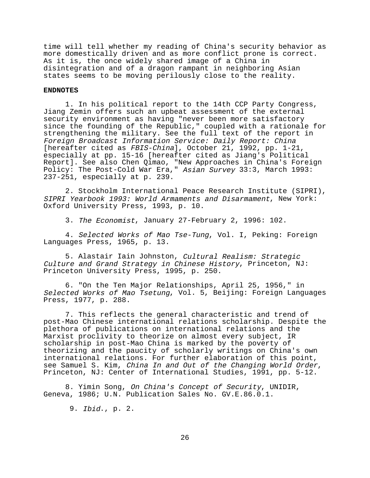time will tell whether my reading of China's security behavior as more domestically driven and as more conflict prone is correct. As it is, the once widely shared image of a China in disintegration and of a dragon rampant in neighboring Asian states seems to be moving perilously close to the reality.

### **ENDNOTES**

1. In his political report to the 14th CCP Party Congress, Jiang Zemin offers such an upbeat assessment of the external security environment as having "never been more satisfactory since the founding of the Republic," coupled with a rationale for strengthening the military. See the full text of the report in Foreign Broadcast Information Service: Daily Report: China [hereafter cited as FBIS-China], October 21, 1992, pp. 1-21, especially at pp. 15-16 [hereafter cited as Jiang's Political Report]. See also Chen Qimao, "New Approaches in China's Foreign Policy: The Post-Cold War Era," Asian Survey 33:3, March 1993: 237-251, especially at p. 239.

2. Stockholm International Peace Research Institute (SIPRI), SIPRI Yearbook 1993: World Armaments and Disarmament, New York: Oxford University Press, 1993, p. 10.

3. The Economist, January 27-February 2, 1996: 102.

4. Selected Works of Mao Tse-Tung, Vol. I, Peking: Foreign Languages Press, 1965, p. 13.

5. Alastair Iain Johnston, Cultural Realism: Strategic Culture and Grand Strategy in Chinese History, Princeton, NJ: Princeton University Press, 1995, p. 250.

6. "On the Ten Major Relationships, April 25, 1956," in Selected Works of Mao Tsetung, Vol. 5, Beijing: Foreign Languages Press, 1977, p. 288.

7. This reflects the general characteristic and trend of post-Mao Chinese international relations scholarship. Despite the plethora of publications on international relations and the Marxist proclivity to theorize on almost every subject, IR scholarship in post-Mao China is marked by the poverty of theorizing and the paucity of scholarly writings on China's own international relations. For further elaboration of this point,<br>see Samuel S. Kim, China In and Out of the Changing World Order, Princeton, NJ: Center of International Studies, 1991, pp. 5-12.

8. Yimin Song, On China's Concept of Security, UNIDIR, Geneva, 1986; U.N. Publication Sales No. GV.E.86.0.1.

9. Ibid., p. 2.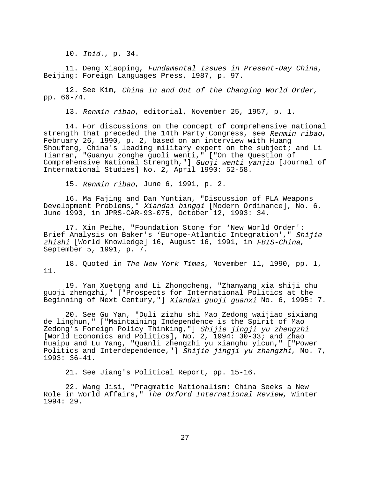10. Ibid., p. 34.

11. Deng Xiaoping, Fundamental Issues in Present-Day China, Beijing: Foreign Languages Press, 1987, p. 97.

12. See Kim, China In and Out of the Changing World Order, pp. 66-74.

13. Renmin ribao, editorial, November 25, 1957, p. 1.

14. For discussions on the concept of comprehensive national strength that preceded the 14th Party Congress, see Renmin ribao, February 26, 1990, p. 2, based on an interview with Huang Shoufeng, China's leading military expert on the subject; and Li Tianran, "Guanyu zonghe guoli wenti," ["On the Question of Comprehensive National Strength,"] Guoji wenti yanjiu [Journal of International Studies] No. 2, April 1990: 52-58.

15. Renmin ribao, June 6, 1991, p. 2.

16. Ma Fajing and Dan Yuntian, "Discussion of PLA Weapons Development Problems," Xiandai bingqi [Modern Ordinance], No. 6, June 1993, in JPRS-CAR-93-075, October 12, 1993: 34.

17. Xin Peihe, "Foundation Stone for 'New World Order': Brief Analysis on Baker's 'Europe-Atlantic Integration'," Shijie zhishi [World Knowledge] 16, August 16, 1991, in FBIS-China,<br>September 5, 1991, p. 7.

18. Quoted in The New York Times, November 11, 1990, pp. 1, 11.

19. Yan Xuetong and Li Zhongcheng, "Zhanwang xia shiji chu guoji zhengzhi," ["Prospects for International Politics at the Beginning of Next Century,"] Xiandai guoji guanxi No. 6, 1995: 7.

20. See Gu Yan, "Duli zizhu shi Mao Zedong waijiao sixiang de linghun," ["Maintaining Independence is the Spirit of Mao Zedong's Foreign Policy Thinking,"] Shijie jingji yu zhengzhi [World Economics and Politics], No. 2, 1994: 30-33; and Zhao Huaipu and Lu Yang, "Quanli zhengzhi yu xianghu yicun," ["Power Politics and Interdependence, "] Shijie jingji yu zhangzhi, No. 7, 1993: 36-41.

21. See Jiang's Political Report, pp. 15-16.

22. Wang Jisi, "Pragmatic Nationalism: China Seeks a New Role in World Affairs," The Oxford International Review, Winter 1994: 29.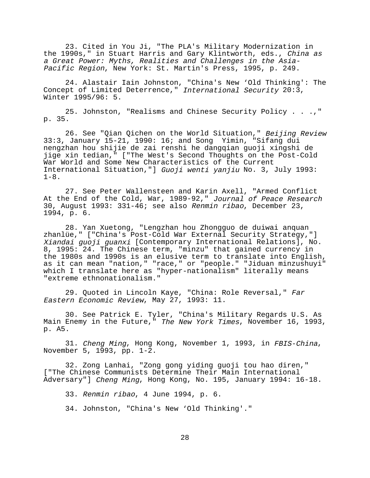23. Cited in You Ji, "The PLA's Military Modernization in the 1990s," in Stuart Harris and Gary Klintworth, eds., China as a Great Power: Myths, Realities and Challenges in the Asia-Pacific Region, New York: St. Martin's Press, 1995, p. 249.

24. Alastair Iain Johnston, "China's New 'Old Thinking': The Concept of Limited Deterrence," International Security 20:3, Winter 1995/96: 5.

25. Johnston, "Realisms and Chinese Security Policy . . .," p. 35.

26. See "Qian Qichen on the World Situation," Beijing Review 33:3, January 15-21, 1990: 16; and Song Yimin, "Sifang dui nengzhan hou shijie de zai renshi he dangqian guoji xingshi de jige xin tedian," ["The West's Second Thoughts on the Post-Cold War World and Some New Characteristics of the Current International Situation,"] Guoji wenti yanjiu No. 3, July 1993:  $1-8$ .

27. See Peter Wallensteen and Karin Axell, "Armed Conflict At the End of the Cold, War, 1989-92," Journal of Peace Research 30, August 1993: 331-46; see also Renmin ribao, December 23, 1994, p. 6.

28. Yan Xuetong, "Lengzhan hou Zhongguo de duiwai anquan zhanlüe," ["China's Post-Cold War External Security Strategy,"] Xiandai guoji guanxi [Contemporary International Relations], No. 8, 1995: 24. The Chinese term, "minzu" that gained currency in the 1980s and 1990s is an elusive term to translate into English, as it can mean "nation," "race," or "people." "Jiduan minzushuyi" which I translate here as "hyper-nationalism" literally means "extreme ethnonationalism."

29. Ouoted in Lincoln Kaye, "China: Role Reversal," Far Eastern Economic Review, May 27, 1993: 11.

30. See Patrick E. Tyler, "China's Military Regards U.S. As Main Enemy in the Future," The New York Times, November 16, 1993, p. A5.

31. Cheng Ming, Hong Kong, November 1, 1993, in FBIS-China, November 5, 1993, pp. 1-2.

32. Zong Lanhai, "Zong gong yiding guoji tou hao diren," ["The Chinese Communists Determine Their Main International Adversary"] Cheng Ming, Hong Kong, No. 195, January 1994: 16-18.

33. Renmin ribao, 4 June 1994, p. 6.

34. Johnston, "China's New 'Old Thinking'."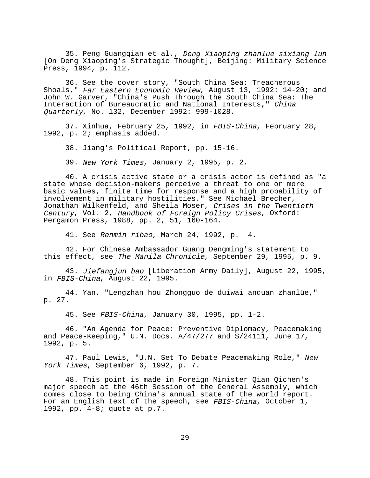35. Peng Guangqian et al., Deng Xiaoping zhanlue sixiang lun [On Deng Xiaoping's Strategic Thought], Beijing: Military Science Press, 1994, p. 112.

36. See the cover story, "South China Sea: Treacherous Shoals," Far Eastern Economic Review, August 13, 1992: 14-20; and John W. Garver, "China's Push Through the South China Sea: The Interaction of Bureaucratic and National Interests," China Quarterly, No. 132, December 1992: 999-1028.

37. Xinhua, February 25, 1992, in FBIS-China, February 28, 1992, p. 2; emphasis added.

38. Jiang's Political Report, pp. 15-16.

39. New York Times, January 2, 1995, p. 2.

40. A crisis active state or a crisis actor is defined as "a state whose decision-makers perceive a threat to one or more basic values, finite time for response and a high probability of involvement in military hostilities." See Michael Brecher, Jonathan Wilkenfeld, and Sheila Moser, Crises in the Twentieth Century, Vol. 2, Handbook of Foreign Policy Crises, Oxford: Pergamon Press, 1988, pp. 2, 51, 160-164.

41. See Renmin ribao, March 24, 1992, p. 4.

42. For Chinese Ambassador Guang Dengming's statement to this effect, see The Manila Chronicle, September 29, 1995, p. 9.

43. Jiefangjun bao [Liberation Army Daily], August 22, 1995, in FBIS-China, August 22, 1995.

44. Yan, "Lengzhan hou Zhongguo de duiwai anquan zhanlüe," p. 27.

45. See FBIS-China, January 30, 1995, pp. 1-2.

46. "An Agenda for Peace: Preventive Diplomacy, Peacemaking and Peace-Keeping," U.N. Docs. A/47/277 and S/24111, June 17, 1992, p. 5.

47. Paul Lewis, "U.N. Set To Debate Peacemaking Role," New York Times, September 6, 1992, p. 7.

48. This point is made in Foreign Minister Qian Qichen's major speech at the 46th Session of the General Assembly, which comes close to being China's annual state of the world report. For an English text of the speech, see FBIS-China, October 1, 1992, pp. 4-8; quote at p.7.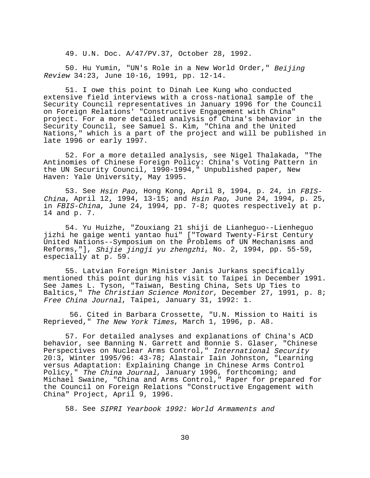49. U.N. Doc. A/47/PV.37, October 28, 1992.

50. Hu Yumin, "UN's Role in a New World Order," Beijing Review 34:23, June 10-16, 1991, pp. 12-14.

51. I owe this point to Dinah Lee Kung who conducted extensive field interviews with a cross-national sample of the Security Council representatives in January 1996 for the Council on Foreign Relations' "Constructive Engagement with China" project. For a more detailed analysis of China's behavior in the Security Council, see Samuel S. Kim, "China and the United Nations," which is a part of the project and will be published in late 1996 or early 1997.

52. For a more detailed analysis, see Nigel Thalakada, "The Antinomies of Chinese Foreign Policy: China's Voting Pattern in the UN Security Council, 1990-1994," Unpublished paper, New Haven: Yale University, May 1995.

53. See Hsin Pao, Hong Kong, April 8, 1994, p. 24, in FBIS-China, April 12, 1994, 13-15; and Hsin Pao, June 24, 1994, p. 25, in FBIS-China, June 24, 1994, pp. 7-8; quotes respectively at p. 14 and p. 7.

54. Yu Huizhe, "Zouxiang 21 shiji de Lianheguo--Lienheguo jizhi he gaige wenti yantao hui" ["Toward Twenty-First Century United Nations--Symposium on the Problems of UN Mechanisms and Reforms,"], Shijie jingji yu zhengzhi, No. 2, 1994, pp. 55-59, especially at p. 59.

55. Latvian Foreign Minister Janis Jurkans specifically mentioned this point during his visit to Taipei in December 1991. See James L. Tyson, "Taiwan, Besting China, Sets Up Ties to Baltics," The Christian Science Monitor, December 27, 1991, p. 8; Free China Journal, Taipei, January 31, 1992: 1.

 56. Cited in Barbara Crossette, "U.N. Mission to Haiti is Reprieved," The New York Times, March 1, 1996, p. A8.

57. For detailed analyses and explanations of China's ACD behavior, see Banning N. Garrett and Bonnie S. Glaser, "Chinese Perspectives on Nuclear Arms Control," International Security 20:3, Winter 1995/96: 43-78; Alastair Iain Johnston, "Learning versus Adaptation: Explaining Change in Chinese Arms Control Policy," The China Journal, January 1996, forthcoming; and Michael Swaine, "China and Arms Control," Paper for prepared for the Council on Foreign Relations "Constructive Engagement with China" Project, April 9, 1996.

58. See SIPRI Yearbook 1992: World Armaments and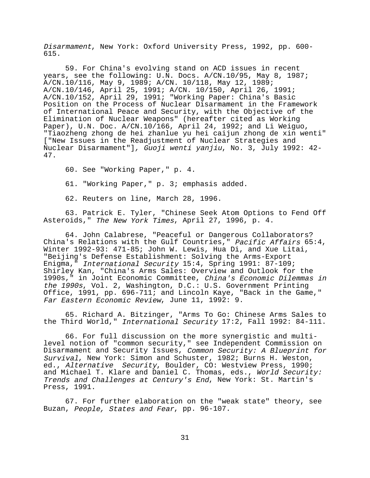Disarmament, New York: Oxford University Press, 1992, pp. 600- 615.

59. For China's evolving stand on ACD issues in recent years, see the following: U.N. Docs. A/CN.10/95, May 8, 1987; A/CN.10/116, May 9, 1989; A/CN. 10/118, May 12, 1989; A/CN.10/146, April 25, 1991; A/CN. 10/150, April 26, 1991; A/CN.10/152, April 29, 1991; "Working Paper: China's Basic Position on the Process of Nuclear Disarmament in the Framework of International Peace and Security, with the Objective of the Elimination of Nuclear Weapons" (hereafter cited as Working Paper), U.N. Doc. A/CN.10/166, April 24, 1992; and Li Weiguo, "Tiaozheng zhong de hei zhanlue yu hei caijun zhong de xin wenti" ["New Issues in the Readjustment of Nuclear Strategies and Nuclear Disarmament"], Guoji wenti yanjiu, No. 3, July 1992: 42- 47.

60. See "Working Paper," p. 4.

61. "Working Paper," p. 3; emphasis added.

62. Reuters on line, March 28, 1996.

63. Patrick E. Tyler, "Chinese Seek Atom Options to Fend Off Asteroids," The New York Times, April 27, 1996, p. 4.

64. John Calabrese, "Peaceful or Dangerous Collaborators? China's Relations with the Gulf Countries," Pacific Affairs 65:4, Winter 1992-93: 471-85; John W. Lewis, Hua Di, and Xue Litai, "Beijing's Defense Establishment: Solving the Arms-Export Enigma," International Security 15:4, Spring 1991: 87-109; Shirley Kan, "China's Arms Sales: Overview and Outlook for the 1990s," in Joint Economic Committee, China's Economic Dilemmas in the 1990s, Vol. 2, Washington, D.C.: U.S. Government Printing Office, 1991, pp. 696-711; and Lincoln Kaye, "Back in the Game," Far Eastern Economic Review, June 11, 1992: 9.

65. Richard A. Bitzinger, "Arms To Go: Chinese Arms Sales to the Third World," International Security 17:2, Fall 1992: 84-111.

66. For full discussion on the more synergistic and multilevel notion of "common security," see Independent Commission on Disarmament and Security Issues, Common Security: A Blueprint for Survival, New York: Simon and Schuster, 1982; Burns H. Weston, ed., Alternative Security, Boulder, CO: Westview Press, 1990; and Michael T. Klare and Daniel C. Thomas, eds., World Security: Trends and Challenges at Century's End, New York: St. Martin's Press, 1991.

67. For further elaboration on the "weak state" theory, see Buzan, People, States and Fear, pp. 96-107.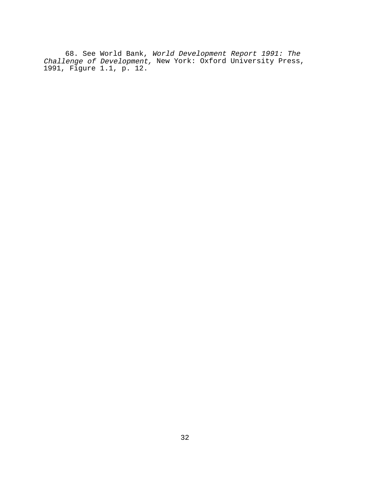68. See World Bank, World Development Report 1991: The Challenge of Development, New York: Oxford University Press, 1991, Figure 1.1, p. 12.